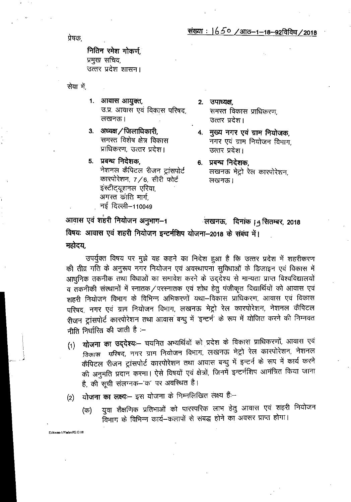प्रेषक,

नितिन रमेश गोकर्ण. प्रमुख सचिव, उत्तर प्रदेश शासन।

सेवा में

- 1. आवास आयुक्त, उ.प्र. आवास एवं विकास परिषद, लखनऊ।
- 3. अध्यक्ष / जिलाधिकारी, समस्त विशेष क्षेत्र विकास प्राधिकरण, उत्तर प्रदेश।
- 5. प्रबन्ध निदेशक, नेशनल कैपिटल रीजन ट्रांसपोर्ट कारपोरेशन, 7/6, सीरी फोर्ट इंस्टीट्यूशनल एरिया, अगस्त कांति मार्ग नई दिल्ली–110049
- 2. उपाध्यक्ष. समस्त विकास प्राधिकरण, उत्तर प्रदेश।

4. मुख्य नगर एवं ग्राम नियोजक, नगर एवं ग्राम नियोजन विभाग, उत्तर प्रदेश।

6. प्रबन्ध निदेशक. लखनऊ मेट्रो रेल कारपोरेशन. लखनऊ।

आवास एवं शहरी नियोजन अनुभाग-1 विषयः आवास एवं शहरी नियोजन इन्टर्नशिप योजना-2018 के संबंध में। महोदय.

उपर्युक्त विषय पर मुझे यह कहने का निदेश हुआ है कि उत्तर प्रदेश में शहरीकरण की तीव्र गति के अनुरूप नगर नियोजन एवं अवस्थापना सुविधाओं के डिजाइन एवं विकास में आधुनिक तकनीक तथा विधाओं का समावेश करने के उद्देश्य से मान्यता प्राप्त विश्वविद्यालयों व तकनीकी संस्थानों में स्नातक/परस्नातक एवं शोध हेतु पंजीकृत विद्यार्थियों को आवास एवं शहरी नियोजनं विभाग के विभिन्न अभिकरणों यथा–विकास प्राधिकरण, आवास एवं विकास परिषद, नगर एवं ग्राम नियोजन विभाग, लखनऊ मेट्रो रेल कारपोरेशन, नेशनल कैपिटल रीजन ट्रांसपोर्ट कारपोरेशन तथा आवास बन्धु में 'इन्टर्न' के रूप में योजित करने की निम्नवत नीति निर्धारित की जाती है $\div$ 

- योजना का उद्देश्यः- चयनित अभ्यर्थियों को प्रदेश के विकास प्राधिकरणों, आवास एवं  $(1)$ *क्रिकास परिषद*, नगर ग्राम नियोजन विभाग, लखनऊ मेट्रो रेल कारपोरेशन, नेशनल कैपिटल रीजन ट्रांसपोर्ट कारपोरेशन तथा आवास बन्धु में इन्टर्न के रूप में कार्य करने की अनुमति प्रदान करना। ऐसे विषयों एवं क्षेत्रों, जिनमें इन्टर्नशिप आमंत्रित किया जाना है, की सूची संलग्नक-'क' पर अवस्थित है।
- योजना का लक्ष्यः- इस योजना के निम्नलिखित लक्ष्य हैं:- $(2)$ 
	- यूवा शैक्षणिक प्रतिभाओं को पारस्परिक लाभ हेतु आवास एवं शहरी नियोजन (क) विभाग के विभिन्न कार्य-कलापों से संबद्ध होने का अवसर प्राप्त होगा।

E/Awas-1/Yadavi/GO.18

ंलखनऊ, दिनांक | 4 सितम्बर, 2018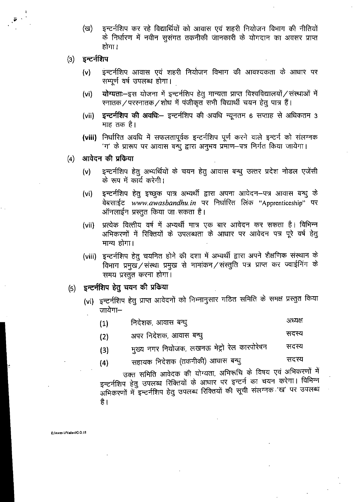- इन्टर्नशिप कर रहे विद्यार्थियों को आवास एवं शहरी नियोजन विभाग की नीतियों (ख) के निर्धारण में नवीन सुसंगत तकनीकी जानकारी के योगदान का अवसर प्राप्त होगा ।
- इन्टर्नशिप  $(3)$ 
	- इन्टर्नशिप आवास एवं शहरी नियोजन विभाग की आवश्यकता के आधार पर  $(v)$ सम्पूर्ण वर्ष उपलब्ध होगा।
	- योग्यताः-इस योजना में इन्टर्नशिप हेतु मान्यता प्राप्त विश्वविद्यालयों / संस्थाओं में  $(vi)$ स्नातक/परस्नातक/शोध में पंजीकृत सभी विद्यार्थी चयन हेतु पात्र हैं।
	- **इन्टर्नशिप की अवधि:** इन्टर्नशिप की अवधि न्यूनतम 6 सप्ताह से अधिकतम 3  $(vii)$ माह तक है।
	- (viii) निर्धारित अवधि में सफलतापूर्वक इन्टर्नशिप पूर्ण करने वाले इन्टर्न को संलग्नक 'ग' के प्रारूप पर आवास बन्धु द्वारा अनुभव प्रमाण—पत्र निर्गत किया जायेगा।
- आवेदन की प्रकिया  $\sf(a)$ 
	- इन्टर्नशिप हेतु अभ्यर्थियों के चयन हेतु आवास बन्धु उत्तर प्रदेश नोडल एजेंसी  $(v)$ के रूप में कार्य करेगी।
	- इन्टर्नशिप हेतु इच्छुक पात्र अभ्यर्थी द्वारा अपना आवेदन–पत्र आवास बन्धु के  $(vi)$ वेबसाईट www.awasbandhu.in पर निर्धारित लिंक "Apprenticeship" पर ऑनलाईन प्रस्तुत किया जा सकता है।
	- प्रत्येक वित्तीय वर्ष में अभ्यर्थी मात्र एक बार आवेदन कर सकता है। विभिन्न  $(vii)$ अभिकरणों में रिक्तियों के उपलब्धता के आधार पर आवेदन पत्र पूरे वर्ष हेतु मान्य होगा।
	- (viii) इन्टर्नशिप हेतू चयनित होने की दशा में अभ्यर्थी द्वारा अपने शैक्षणिक संस्थान के विभाग प्रमुख / संस्था प्रमुख से नामांकन / संस्तुति पत्र प्राप्त कर ज्वाईनिंग के समय प्रस्तुत करना होगा।

#### इन्टर्नशिप हेतु चयन की प्रकिया  $(5)$

- (vi) इन्टर्नशिप हेतु प्राप्त आवेदनों को निम्नानुसार गठित समिति के समक्ष प्रस्तुत किया जायेगा–
	- अध्यक्ष निदेशक, आवास बन्धु  $(1)$
	- सदस्य अपर निदेशक, आवास बन्धु  $(2)$
	- मुख्य नगर नियोजक, लखनऊ मेट्रो रेल कारपोरेषन सदस्य  $(3)$
	- सहायक निदेशक (तकनीकी) आवास बन्धु सदस्य  $(4)$

उक्त समिति आवेदक की योग्यता, अभिरूचि के विषय एवं अभिकरणों में इन्टर्नशिप हेतु उपलब्ध रिक्तियों के आधार पर इन्टर्न का चयन करेगा। विभिन्न अभिकरणों में इन्टर्नशिप हेतु उपलब्ध रिक्तियों की सूची संलग्नक 'ख' पर उपलब्ध है।

E:/Awas-1/Yadav//G.O.18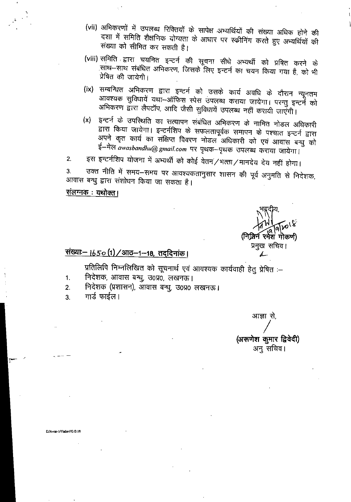- (vii) अभिकरणों में उपलब्ध रिक्तियों के सापेक्ष अभ्यर्थियों की संख्या अधिक होने की दशा में समिति शैक्षणिक योग्यता के आधार पर स्कीनिंग करते हुए अभ्यर्थियों की संख्या को सीमित कर सकती है।
- (viii) समिति द्वारा चयनित इन्टर्न की सूचना सीधे अभ्यर्थी को प्रषित करने के साथ-साथ संबंधित अभिकरण, जिसके लिए इन्टर्न का चयन किया गया है, को भी प्रेषित की जायेगी।
- (ix) सम्बन्धित अभिकरण द्वारा इन्टर्न को उसके कार्य अवधि के दौरान न्यूनतम आवश्यक सुविधायें यथा-ऑफिस स्पेस उपलब्ध कराया जायेगा। परन्तु इन्टर्ने को अभिकरण द्वारा लैपटॉप, आदि जैसी सुविधायें उपलब्ध नहीं करायी जाएँगी।
- इन्टर्न के उपस्थिति का सत्यापन संबंधित अभिकरण के नामित नोडल अधिकारी  $(x)$ द्वारा किया जायेगा। इन्टर्नशिप के सफलतापूर्वक समापन के पश्चात इन्टर्न द्वारा अपने कृत कार्य का संक्षिप्त विवरण नोडल अधिकारी को एवं आवास बन्धु को ई-मेल awasbandhu@gmail.com पर पृथक-पृथक उपलब्ध कराया जायेगा।
- इस इन्टर्नशिप योजना में अभ्यर्थी को कोई वेतन/भत्ता/मानदेय देय नहीं होगा।  $2.$

उक्त नीति में समय–समय पर आवश्यकतानुसार शासन की पूर्व अनुमति से निदेशक,  $3<sub>1</sub>$ आवास बन्धु द्वारा संशोधन किया जा सकता है।

### <u> संलग्नक : यथोक्त।</u>

(निलिन रमेश गोकण) प्रमुख सचिव। Ł

## <u>संख्याः– 1650 (1) / आठ-1-18, तदुदिनांक।</u>

प्रतिलिपि निम्नलिखित को सूचनार्थ एवं आवश्यक कार्यवाही हेतु प्रेषित :–

- निर्देशक, आवास बन्धु, उ०प्र०, लखनऊ।  $1.$
- निदेशक (प्रशासन), आवास बन्धु, उ0प्र0 लखनऊ।  $2.$
- गार्ड फाईल।  $3.$

आज्ञा से, (अरूणेश कुमार द्विवेदी) अन् सचिव।

E/Awas-1/Yadav//G.O.18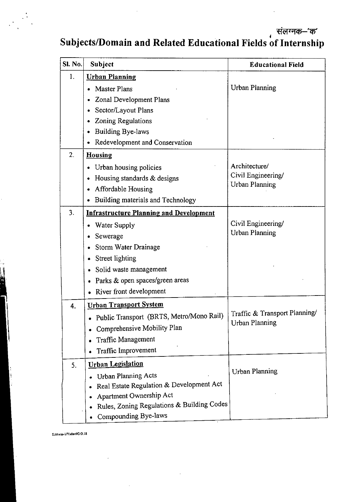संलग्नक—'क'

## Subjects/Domain and Related Educational Fields of Internship

| <b>SI. No.</b>   | Subject                                        | <b>Educational Field</b>      |
|------------------|------------------------------------------------|-------------------------------|
| 1.               | <b>Urban Planning</b>                          |                               |
|                  | <b>Master Plans</b>                            | <b>Urban Planning</b>         |
|                  | Zonal Development Plans                        |                               |
|                  | Sector/Layout Plans                            |                               |
|                  | <b>Zoning Regulations</b><br>٠                 |                               |
|                  | <b>Building Bye-laws</b><br>۰                  |                               |
|                  | Redevelopment and Conservation<br>۰            |                               |
| $\overline{2}$ . | <b>Housing</b>                                 |                               |
|                  | Urban housing policies                         | Architecture/                 |
|                  | Housing standards & designs<br>۰               | Civil Engineering/            |
|                  | Affordable Housing<br>۰                        | <b>Urban Planning</b>         |
|                  | Building materials and Technology<br>$\bullet$ |                               |
| 3.               | <b>Infrastructure Planning and Development</b> |                               |
|                  | Water Supply                                   | Civil Engineering/            |
|                  | Sewerage                                       | <b>Urban Planning</b>         |
|                  | Storm Water Drainage<br>۰                      |                               |
|                  | Street lighting<br>٠                           |                               |
|                  | Solid waste management<br>۰                    |                               |
|                  | Parks & open spaces/green areas<br>$\bullet$   |                               |
|                  | River front development                        |                               |
| 4.               | <b>Urban Transport System</b>                  |                               |
|                  | Public Transport (BRTS, Metro/Mono Rail)       | Traffic & Transport Planning/ |
|                  | • Comprehensive Mobility Plan                  | <b>Urban Planning</b>         |
|                  | <b>Traffic Management</b>                      |                               |
|                  | Traffic Improvement                            |                               |
| 5.               | <b>Urban Legislation</b>                       |                               |
|                  | <b>Urban Planning Acts</b>                     | <b>Urban Planning</b>         |
|                  | Real Estate Regulation & Development Act       |                               |
|                  | Apartment Ownership Act                        |                               |
|                  | Rules, Zoning Regulations & Building Codes     |                               |
|                  | Compounding Bye-laws                           |                               |

EJAwas.I/Yrdsvf/G 0.18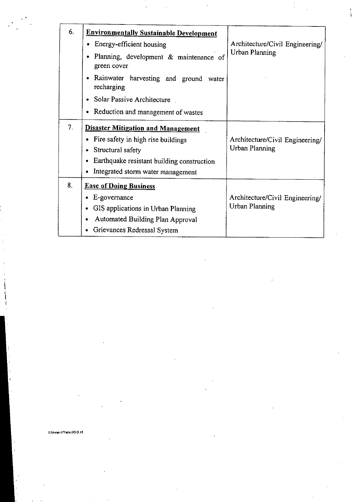| 6. | <b>Environmentally Sustainable Development</b>        |                                                          |
|----|-------------------------------------------------------|----------------------------------------------------------|
|    | Energy-efficient housing                              | Architecture/Civil Engineering/<br><b>Urban Planning</b> |
|    | Planning, development & maintenance of<br>green cover |                                                          |
|    | Rainwater harvesting and ground water<br>recharging   |                                                          |
|    | Solar Passive Architecture                            |                                                          |
|    | Reduction and management of wastes                    |                                                          |
| 7. | <b>Disaster Mitigation and Management</b>             |                                                          |
|    | Fire safety in high rise buildings                    | Architecture/Civil Engineering/<br>Urban Planning        |
|    | Structural safety                                     |                                                          |
|    | Earthquake resistant building construction            |                                                          |
|    | Integrated storm water management                     |                                                          |
| 8. | <b>Ease of Doing Business</b>                         |                                                          |
|    | E-governance                                          | Architecture/Civil Engineering/                          |
|    | GIS applications in Urban Planning                    | <b>Urban Planning</b>                                    |
|    | Automated Building Plan Approval<br>٠                 |                                                          |
|    | Grievances Redressal System                           |                                                          |

**EJAwss.1 Pi sdavIIG 0.18**